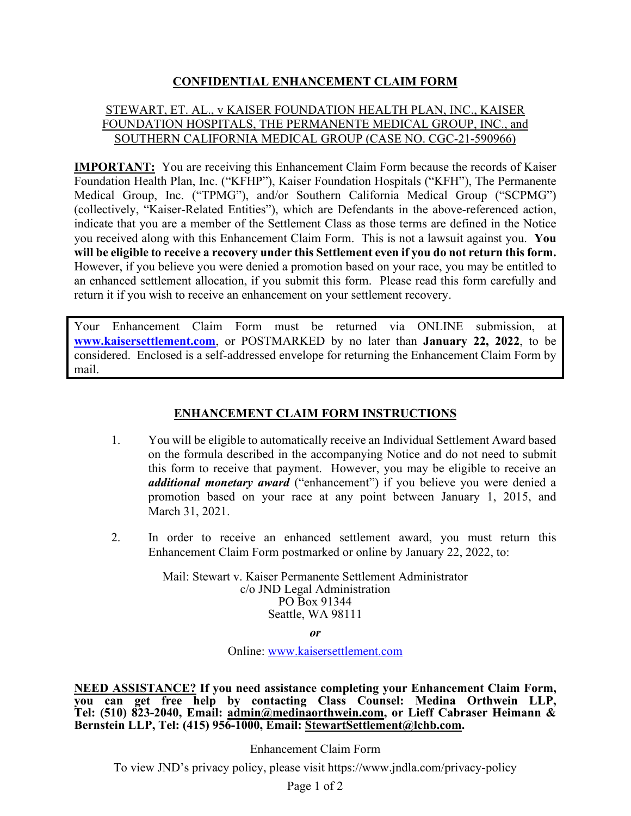## **CONFIDENTIAL ENHANCEMENT CLAIM FORM**

#### STEWART, ET. AL., v KAISER FOUNDATION HEALTH PLAN, INC., KAISER FOUNDATION HOSPITALS, THE PERMANENTE MEDICAL GROUP, INC., and SOUTHERN CALIFORNIA MEDICAL GROUP (CASE NO. CGC-21-590966)

**IMPORTANT:** You are receiving this Enhancement Claim Form because the records of Kaiser Foundation Health Plan, Inc. ("KFHP"), Kaiser Foundation Hospitals ("KFH"), The Permanente Medical Group, Inc. ("TPMG"), and/or Southern California Medical Group ("SCPMG") (collectively, "Kaiser-Related Entities"), which are Defendants in the above-referenced action, indicate that you are a member of the Settlement Class as those terms are defined in the Notice you received along with this Enhancement Claim Form. This is not a lawsuit against you. **You will be eligible to receive a recovery under this Settlement even if you do not return this form.** However, if you believe you were denied a promotion based on your race, you may be entitled to an enhanced settlement allocation, if you submit this form. Please read this form carefully and return it if you wish to receive an enhancement on your settlement recovery.

Your Enhancement Claim Form must be returned via ONLINE submission, at **www.kaisersettlement.com**, or POSTMARKED by no later than **January 22, 2022**, to be considered. Enclosed is a self-addressed envelope for returning the Enhancement Claim Form by mail.

### **ENHANCEMENT CLAIM FORM INSTRUCTIONS**

- 1. You will be eligible to automatically receive an Individual Settlement Award based on the formula described in the accompanying Notice and do not need to submit this form to receive that payment. However, you may be eligible to receive an *additional monetary award* ("enhancement") if you believe you were denied a promotion based on your race at any point between January 1, 2015, and March 31, 2021.
- 2. In order to receive an enhanced settlement award, you must return this Enhancement Claim Form postmarked or online by January 22, 2022, to:

Mail: Stewart v. Kaiser Permanente Settlement Administrator c/o JND Legal Administration PO Box 91344 Seattle, WA 98111

*or*

Online: www.kaisersettlement.com

**NEED ASSISTANCE? If you need assistance completing your Enhancement Claim Form, you can get free help by contacting Class Counsel: Medina Orthwein LLP, Tel: (510) 823-2040, Email: admin@medinaorthwein.com, or Lieff Cabraser Heimann & Bernstein LLP, Tel: (415) 956-1000, Email: StewartSettlement@lchb.com.** 

Enhancement Claim Form

To view JND's privacy policy, please visit https://www.jndla.com/privacy-policy